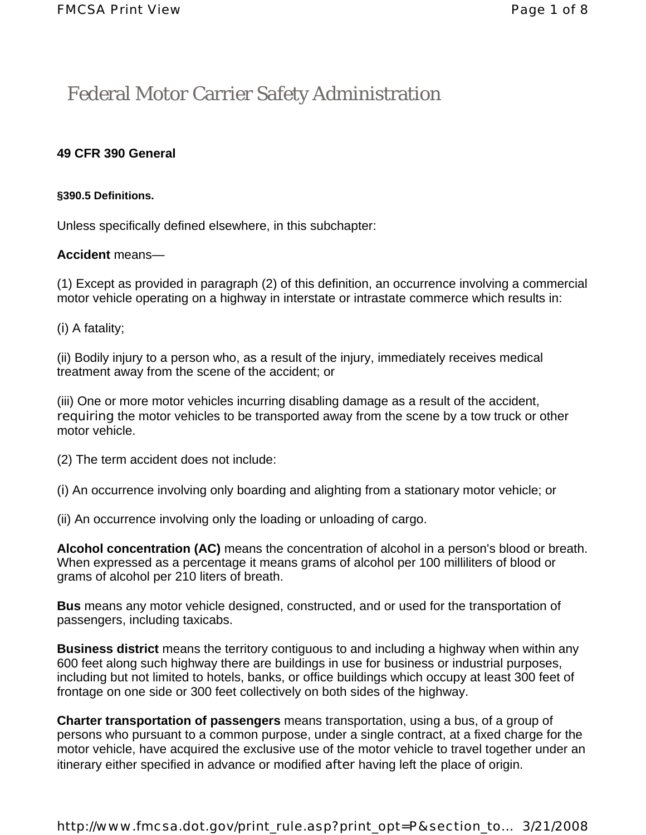# Federal Motor Carrier Safety Administration

## **49 CFR 390 General**

#### **§390.5 Definitions.**

Unless specifically defined elsewhere, in this subchapter:

### **Accident** means—

(1) Except as provided in paragraph (2) of this definition, an occurrence involving a commercial motor vehicle operating on a highway in interstate or intrastate commerce which results in:

(i) A fatality;

(ii) Bodily injury to a person who, as a result of the injury, immediately receives medical treatment away from the scene of the accident; or

(iii) One or more motor vehicles incurring disabling damage as a result of the accident, requiring the motor vehicles to be transported away from the scene by a tow truck or other motor vehicle.

(2) The term accident does not include:

(i) An occurrence involving only boarding and alighting from a stationary motor vehicle; or

(ii) An occurrence involving only the loading or unloading of cargo.

**Alcohol concentration (AC)** means the concentration of alcohol in a person's blood or breath. When expressed as a percentage it means grams of alcohol per 100 milliliters of blood or grams of alcohol per 210 liters of breath.

**Bus** means any motor vehicle designed, constructed, and or used for the transportation of passengers, including taxicabs.

**Business district** means the territory contiguous to and including a highway when within any 600 feet along such highway there are buildings in use for business or industrial purposes, including but not limited to hotels, banks, or office buildings which occupy at least 300 feet of frontage on one side or 300 feet collectively on both sides of the highway.

**Charter transportation of passengers** means transportation, using a bus, of a group of persons who pursuant to a common purpose, under a single contract, at a fixed charge for the motor vehicle, have acquired the exclusive use of the motor vehicle to travel together under an itinerary either specified in advance or modified after having left the place of origin.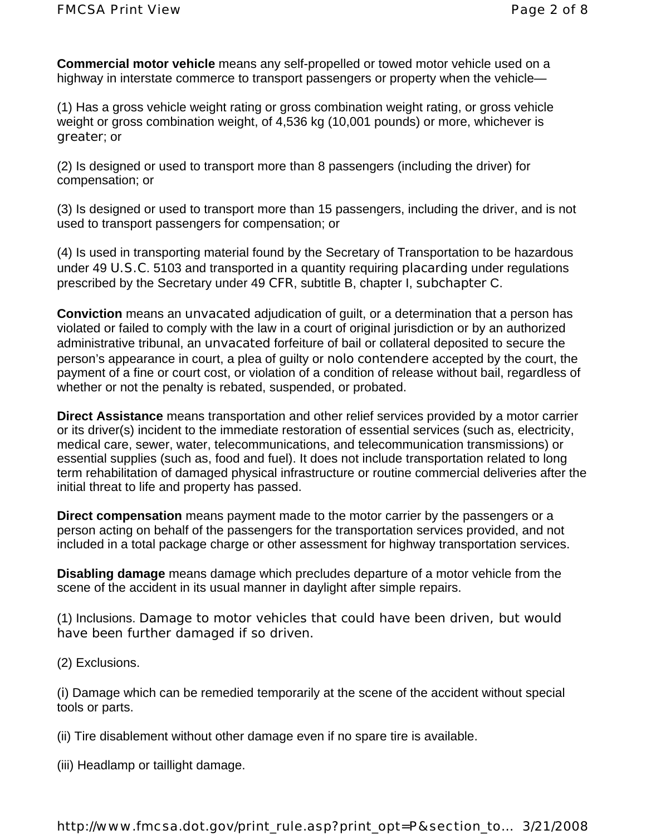**Commercial motor vehicle** means any self-propelled or towed motor vehicle used on a highway in interstate commerce to transport passengers or property when the vehicle-

(1) Has a gross vehicle weight rating or gross combination weight rating, or gross vehicle weight or gross combination weight, of 4,536 kg (10,001 pounds) or more, whichever is greater; or

(2) Is designed or used to transport more than 8 passengers (including the driver) for compensation; or

(3) Is designed or used to transport more than 15 passengers, including the driver, and is not used to transport passengers for compensation; or

(4) Is used in transporting material found by the Secretary of Transportation to be hazardous under 49 U.S.C. 5103 and transported in a quantity requiring placarding under regulations prescribed by the Secretary under 49 CFR, subtitle B, chapter I, subchapter C.

**Conviction** means an unvacated adjudication of guilt, or a determination that a person has violated or failed to comply with the law in a court of original jurisdiction or by an authorized administrative tribunal, an unvacated forfeiture of bail or collateral deposited to secure the person's appearance in court, a plea of guilty or nolo contendere accepted by the court, the payment of a fine or court cost, or violation of a condition of release without bail, regardless of whether or not the penalty is rebated, suspended, or probated.

**Direct Assistance** means transportation and other relief services provided by a motor carrier or its driver(s) incident to the immediate restoration of essential services (such as, electricity, medical care, sewer, water, telecommunications, and telecommunication transmissions) or essential supplies (such as, food and fuel). It does not include transportation related to long term rehabilitation of damaged physical infrastructure or routine commercial deliveries after the initial threat to life and property has passed.

**Direct compensation** means payment made to the motor carrier by the passengers or a person acting on behalf of the passengers for the transportation services provided, and not included in a total package charge or other assessment for highway transportation services.

**Disabling damage** means damage which precludes departure of a motor vehicle from the scene of the accident in its usual manner in daylight after simple repairs.

(1) Inclusions. Damage to motor vehicles that could have been driven, but would have been further damaged if so driven.

(2) Exclusions.

(i) Damage which can be remedied temporarily at the scene of the accident without special tools or parts.

(ii) Tire disablement without other damage even if no spare tire is available.

(iii) Headlamp or taillight damage.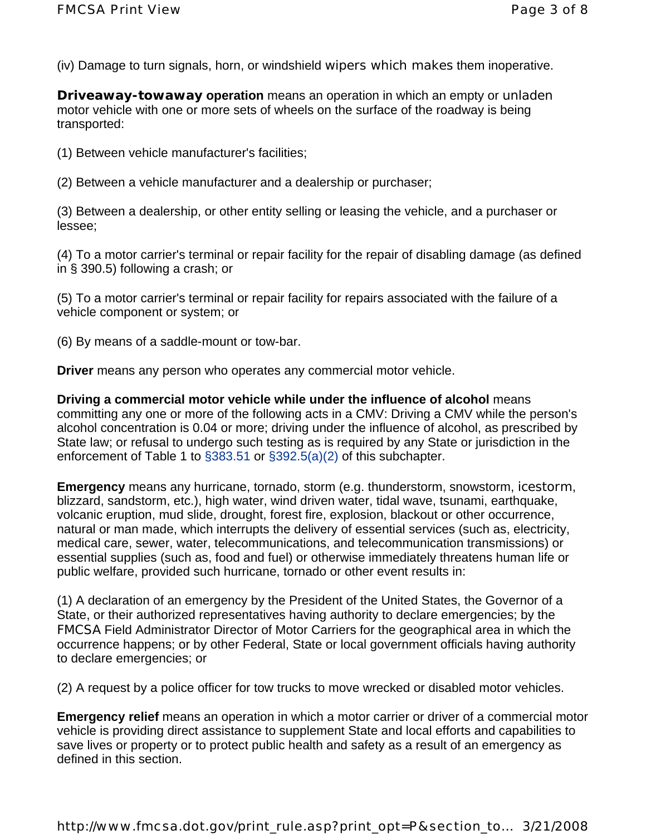(iv) Damage to turn signals, horn, or windshield wipers which makes them inoperative.

**Driveaway-towaway operation** means an operation in which an empty or unladen motor vehicle with one or more sets of wheels on the surface of the roadway is being transported:

(1) Between vehicle manufacturer's facilities;

(2) Between a vehicle manufacturer and a dealership or purchaser;

(3) Between a dealership, or other entity selling or leasing the vehicle, and a purchaser or lessee;

(4) To a motor carrier's terminal or repair facility for the repair of disabling damage (as defined in § 390.5) following a crash; or

(5) To a motor carrier's terminal or repair facility for repairs associated with the failure of a vehicle component or system; or

(6) By means of a saddle-mount or tow-bar.

**Driver** means any person who operates any commercial motor vehicle.

**Driving a commercial motor vehicle while under the influence of alcohol** means committing any one or more of the following acts in a CMV: Driving a CMV while the person's alcohol concentration is 0.04 or more; driving under the influence of alcohol, as prescribed by State law; or refusal to undergo such testing as is required by any State or jurisdiction in the enforcement of Table 1 to §383.51 or §392.5(a)(2) of this subchapter.

**Emergency** means any hurricane, tornado, storm (e.g. thunderstorm, snowstorm, icestorm, blizzard, sandstorm, etc.), high water, wind driven water, tidal wave, tsunami, earthquake, volcanic eruption, mud slide, drought, forest fire, explosion, blackout or other occurrence, natural or man made, which interrupts the delivery of essential services (such as, electricity, medical care, sewer, water, telecommunications, and telecommunication transmissions) or essential supplies (such as, food and fuel) or otherwise immediately threatens human life or public welfare, provided such hurricane, tornado or other event results in:

(1) A declaration of an emergency by the President of the United States, the Governor of a State, or their authorized representatives having authority to declare emergencies; by the FMCSA Field Administrator Director of Motor Carriers for the geographical area in which the occurrence happens; or by other Federal, State or local government officials having authority to declare emergencies; or

(2) A request by a police officer for tow trucks to move wrecked or disabled motor vehicles.

**Emergency relief** means an operation in which a motor carrier or driver of a commercial motor vehicle is providing direct assistance to supplement State and local efforts and capabilities to save lives or property or to protect public health and safety as a result of an emergency as defined in this section.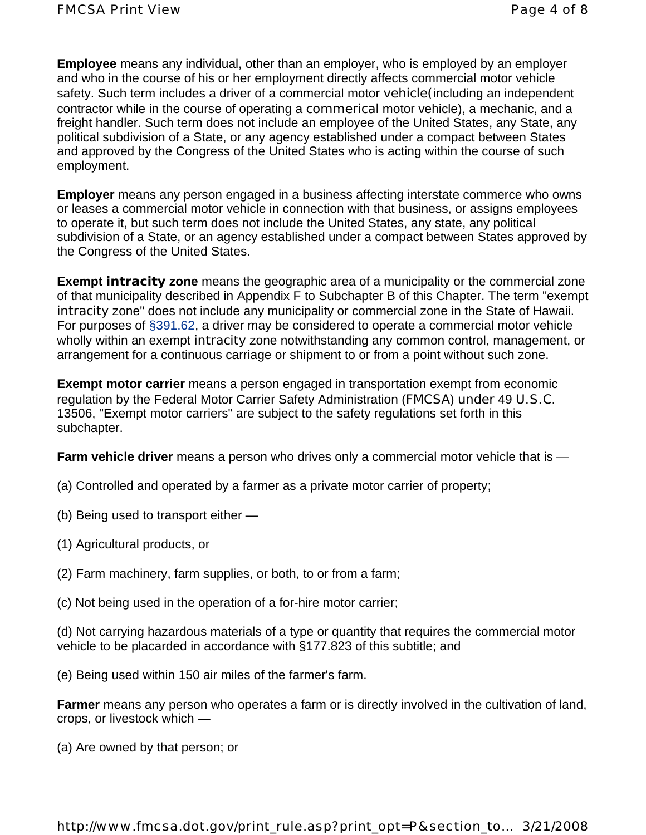**Employee** means any individual, other than an employer, who is employed by an employer and who in the course of his or her employment directly affects commercial motor vehicle safety. Such term includes a driver of a commercial motor vehicle(including an independent contractor while in the course of operating a commerical motor vehicle), a mechanic, and a freight handler. Such term does not include an employee of the United States, any State, any political subdivision of a State, or any agency established under a compact between States and approved by the Congress of the United States who is acting within the course of such employment.

**Employer** means any person engaged in a business affecting interstate commerce who owns or leases a commercial motor vehicle in connection with that business, or assigns employees to operate it, but such term does not include the United States, any state, any political subdivision of a State, or an agency established under a compact between States approved by the Congress of the United States.

**Exempt intracity zone** means the geographic area of a municipality or the commercial zone of that municipality described in Appendix F to Subchapter B of this Chapter. The term "exempt intracity zone" does not include any municipality or commercial zone in the State of Hawaii. For purposes of §391.62, a driver may be considered to operate a commercial motor vehicle wholly within an exempt intracity zone notwithstanding any common control, management, or arrangement for a continuous carriage or shipment to or from a point without such zone.

**Exempt motor carrier** means a person engaged in transportation exempt from economic regulation by the Federal Motor Carrier Safety Administration (FMCSA) under 49 U.S.C. 13506, "Exempt motor carriers" are subject to the safety regulations set forth in this subchapter.

**Farm vehicle driver** means a person who drives only a commercial motor vehicle that is —

- (a) Controlled and operated by a farmer as a private motor carrier of property;
- (b) Being used to transport either —
- (1) Agricultural products, or
- (2) Farm machinery, farm supplies, or both, to or from a farm;
- (c) Not being used in the operation of a for-hire motor carrier;

(d) Not carrying hazardous materials of a type or quantity that requires the commercial motor vehicle to be placarded in accordance with §177.823 of this subtitle; and

(e) Being used within 150 air miles of the farmer's farm.

**Farmer** means any person who operates a farm or is directly involved in the cultivation of land, crops, or livestock which —

(a) Are owned by that person; or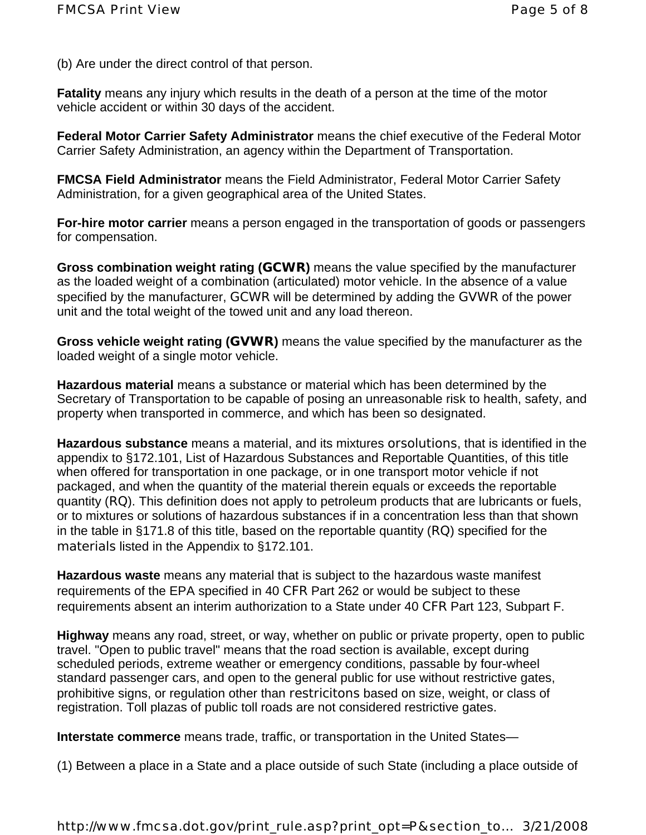(b) Are under the direct control of that person.

**Fatality** means any injury which results in the death of a person at the time of the motor vehicle accident or within 30 days of the accident.

**Federal Motor Carrier Safety Administrator** means the chief executive of the Federal Motor Carrier Safety Administration, an agency within the Department of Transportation.

**FMCSA Field Administrator** means the Field Administrator, Federal Motor Carrier Safety Administration, for a given geographical area of the United States.

**For-hire motor carrier** means a person engaged in the transportation of goods or passengers for compensation.

**Gross combination weight rating (GCWR)** means the value specified by the manufacturer as the loaded weight of a combination (articulated) motor vehicle. In the absence of a value specified by the manufacturer, GCWR will be determined by adding the GVWR of the power unit and the total weight of the towed unit and any load thereon.

**Gross vehicle weight rating (GVWR)** means the value specified by the manufacturer as the loaded weight of a single motor vehicle.

**Hazardous material** means a substance or material which has been determined by the Secretary of Transportation to be capable of posing an unreasonable risk to health, safety, and property when transported in commerce, and which has been so designated.

**Hazardous substance** means a material, and its mixtures orsolutions, that is identified in the appendix to §172.101, List of Hazardous Substances and Reportable Quantities, of this title when offered for transportation in one package, or in one transport motor vehicle if not packaged, and when the quantity of the material therein equals or exceeds the reportable quantity (RQ). This definition does not apply to petroleum products that are lubricants or fuels, or to mixtures or solutions of hazardous substances if in a concentration less than that shown in the table in §171.8 of this title, based on the reportable quantity (RQ) specified for the materials listed in the Appendix to §172.101.

**Hazardous waste** means any material that is subject to the hazardous waste manifest requirements of the EPA specified in 40 CFR Part 262 or would be subject to these requirements absent an interim authorization to a State under 40 CFR Part 123, Subpart F.

**Highway** means any road, street, or way, whether on public or private property, open to public travel. "Open to public travel" means that the road section is available, except during scheduled periods, extreme weather or emergency conditions, passable by four-wheel standard passenger cars, and open to the general public for use without restrictive gates, prohibitive signs, or regulation other than restricitons based on size, weight, or class of registration. Toll plazas of public toll roads are not considered restrictive gates.

**Interstate commerce** means trade, traffic, or transportation in the United States—

(1) Between a place in a State and a place outside of such State (including a place outside of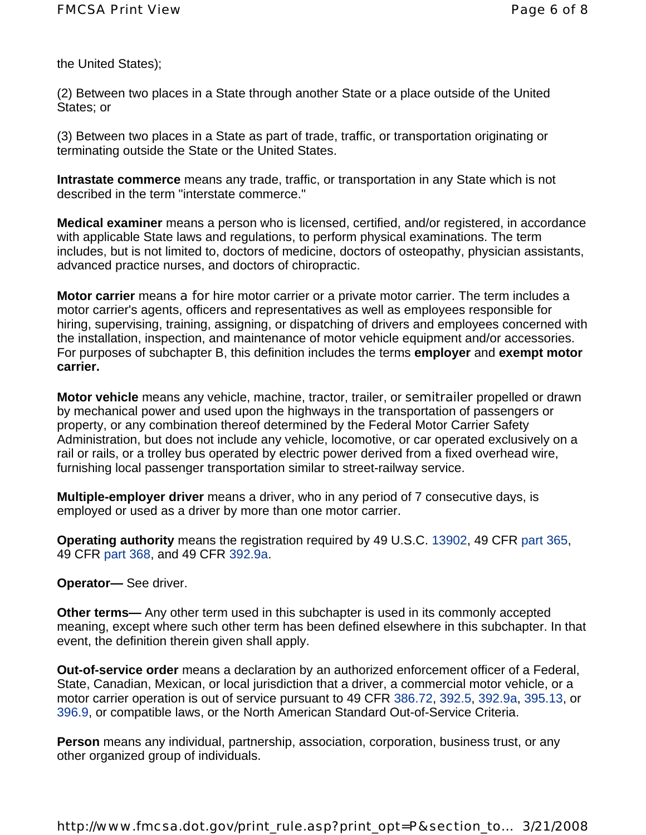the United States);

(2) Between two places in a State through another State or a place outside of the United States; or

(3) Between two places in a State as part of trade, traffic, or transportation originating or terminating outside the State or the United States.

**Intrastate commerce** means any trade, traffic, or transportation in any State which is not described in the term "interstate commerce."

**Medical examiner** means a person who is licensed, certified, and/or registered, in accordance with applicable State laws and regulations, to perform physical examinations. The term includes, but is not limited to, doctors of medicine, doctors of osteopathy, physician assistants, advanced practice nurses, and doctors of chiropractic.

**Motor carrier** means a for hire motor carrier or a private motor carrier. The term includes a motor carrier's agents, officers and representatives as well as employees responsible for hiring, supervising, training, assigning, or dispatching of drivers and employees concerned with the installation, inspection, and maintenance of motor vehicle equipment and/or accessories. For purposes of subchapter B, this definition includes the terms **employer** and **exempt motor carrier.**

**Motor vehicle** means any vehicle, machine, tractor, trailer, or semitrailer propelled or drawn by mechanical power and used upon the highways in the transportation of passengers or property, or any combination thereof determined by the Federal Motor Carrier Safety Administration, but does not include any vehicle, locomotive, or car operated exclusively on a rail or rails, or a trolley bus operated by electric power derived from a fixed overhead wire, furnishing local passenger transportation similar to street-railway service.

**Multiple-employer driver** means a driver, who in any period of 7 consecutive days, is employed or used as a driver by more than one motor carrier.

**Operating authority** means the registration required by 49 U.S.C. 13902, 49 CFR part 365, 49 CFR part 368, and 49 CFR 392.9a.

#### **Operator—** See driver.

**Other terms—** Any other term used in this subchapter is used in its commonly accepted meaning, except where such other term has been defined elsewhere in this subchapter. In that event, the definition therein given shall apply.

**Out-of-service order** means a declaration by an authorized enforcement officer of a Federal, State, Canadian, Mexican, or local jurisdiction that a driver, a commercial motor vehicle, or a motor carrier operation is out of service pursuant to 49 CFR 386.72, 392.5, 392.9a, 395.13, or 396.9, or compatible laws, or the North American Standard Out-of-Service Criteria.

**Person** means any individual, partnership, association, corporation, business trust, or any other organized group of individuals.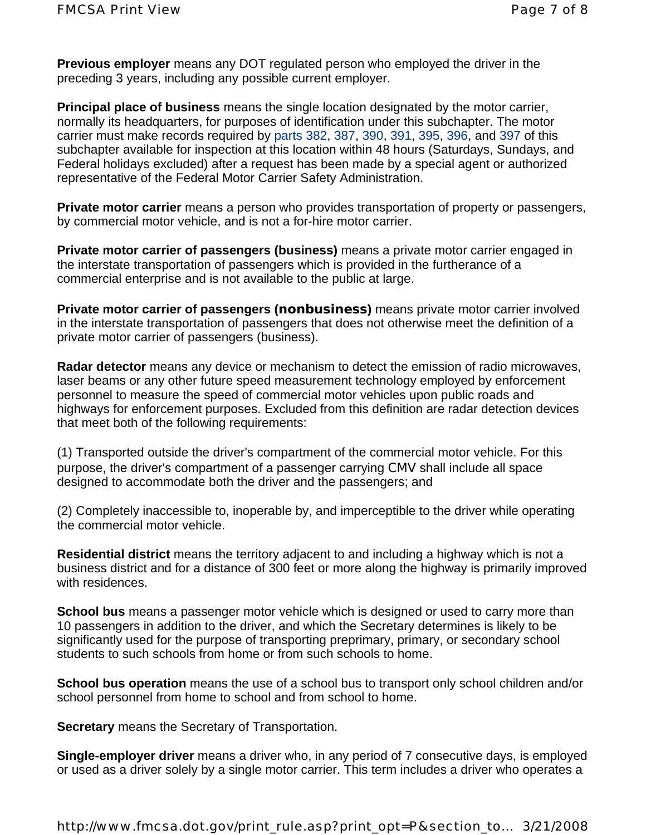**Previous employer** means any DOT regulated person who employed the driver in the preceding 3 years, including any possible current employer.

**Principal place of business** means the single location designated by the motor carrier, normally its headquarters, for purposes of identification under this subchapter. The motor carrier must make records required by parts 382, 387, 390, 391, 395, 396, and 397 of this subchapter available for inspection at this location within 48 hours (Saturdays, Sundays, and Federal holidays excluded) after a request has been made by a special agent or authorized representative of the Federal Motor Carrier Safety Administration.

**Private motor carrier** means a person who provides transportation of property or passengers, by commercial motor vehicle, and is not a for-hire motor carrier.

**Private motor carrier of passengers (business)** means a private motor carrier engaged in the interstate transportation of passengers which is provided in the furtherance of a commercial enterprise and is not available to the public at large.

**Private motor carrier of passengers (nonbusiness)** means private motor carrier involved in the interstate transportation of passengers that does not otherwise meet the definition of a private motor carrier of passengers (business).

**Radar detector** means any device or mechanism to detect the emission of radio microwaves, laser beams or any other future speed measurement technology employed by enforcement personnel to measure the speed of commercial motor vehicles upon public roads and highways for enforcement purposes. Excluded from this definition are radar detection devices that meet both of the following requirements:

(1) Transported outside the driver's compartment of the commercial motor vehicle. For this purpose, the driver's compartment of a passenger carrying CMV shall include all space designed to accommodate both the driver and the passengers; and

(2) Completely inaccessible to, inoperable by, and imperceptible to the driver while operating the commercial motor vehicle.

**Residential district** means the territory adjacent to and including a highway which is not a business district and for a distance of 300 feet or more along the highway is primarily improved with residences.

**School bus** means a passenger motor vehicle which is designed or used to carry more than 10 passengers in addition to the driver, and which the Secretary determines is likely to be significantly used for the purpose of transporting preprimary, primary, or secondary school students to such schools from home or from such schools to home.

**School bus operation** means the use of a school bus to transport only school children and/or school personnel from home to school and from school to home.

**Secretary** means the Secretary of Transportation.

**Single-employer driver** means a driver who, in any period of 7 consecutive days, is employed or used as a driver solely by a single motor carrier. This term includes a driver who operates a